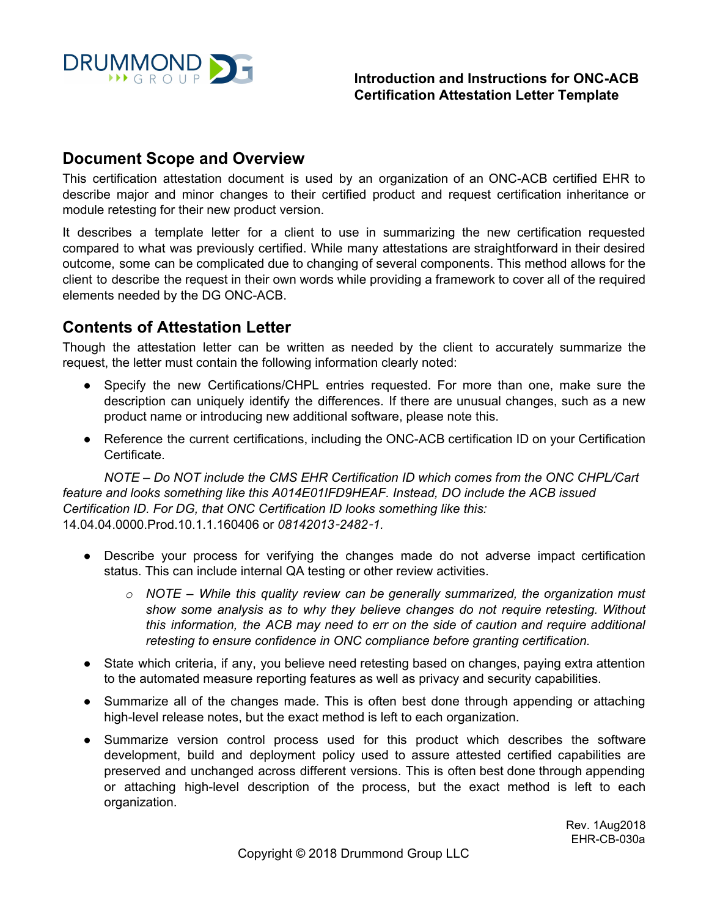

# **Document Scope and Overview**

This certification attestation document is used by an organization of an ONC-ACB certified EHR to describe major and minor changes to their certified product and request certification inheritance or module retesting for their new product version.

It describes a template letter for a client to use in summarizing the new certification requested compared to what was previously certified. While many attestations are straightforward in their desired outcome, some can be complicated due to changing of several components. This method allows for the client to describe the request in their own words while providing a framework to cover all of the required elements needed by the DG ONC-ACB.

# **Contents of Attestation Letter**

Though the attestation letter can be written as needed by the client to accurately summarize the request, the letter must contain the following information clearly noted:

- Specify the new Certifications/CHPL entries requested. For more than one, make sure the description can uniquely identify the differences. If there are unusual changes, such as a new product name or introducing new additional software, please note this.
- Reference the current certifications, including the ONC-ACB certification ID on your Certification Certificate.

*NOTE – Do NOT include the CMS EHR Certification ID which comes from the ONC CHPL/Cart feature and looks something like this A014E01IFD9HEAF. Instead, DO include the ACB issued Certification ID. For DG, that ONC Certification ID looks something like this:* 14.04.04.0000.Prod.10.1.1.160406 or *08142013*-*2482*-*1.*

- Describe your process for verifying the changes made do not adverse impact certification status. This can include internal QA testing or other review activities.
	- *o NOTE – While this quality review can be generally summarized, the organization must show some analysis as to why they believe changes do not require retesting. Without this information, the ACB may need to err on the side of caution and require additional retesting to ensure confidence in ONC compliance before granting certification.*
- State which criteria, if any, you believe need retesting based on changes, paying extra attention to the automated measure reporting features as well as privacy and security capabilities.
- Summarize all of the changes made. This is often best done through appending or attaching high-level release notes, but the exact method is left to each organization.
- Summarize version control process used for this product which describes the software development, build and deployment policy used to assure attested certified capabilities are preserved and unchanged across different versions. This is often best done through appending or attaching high-level description of the process, but the exact method is left to each organization.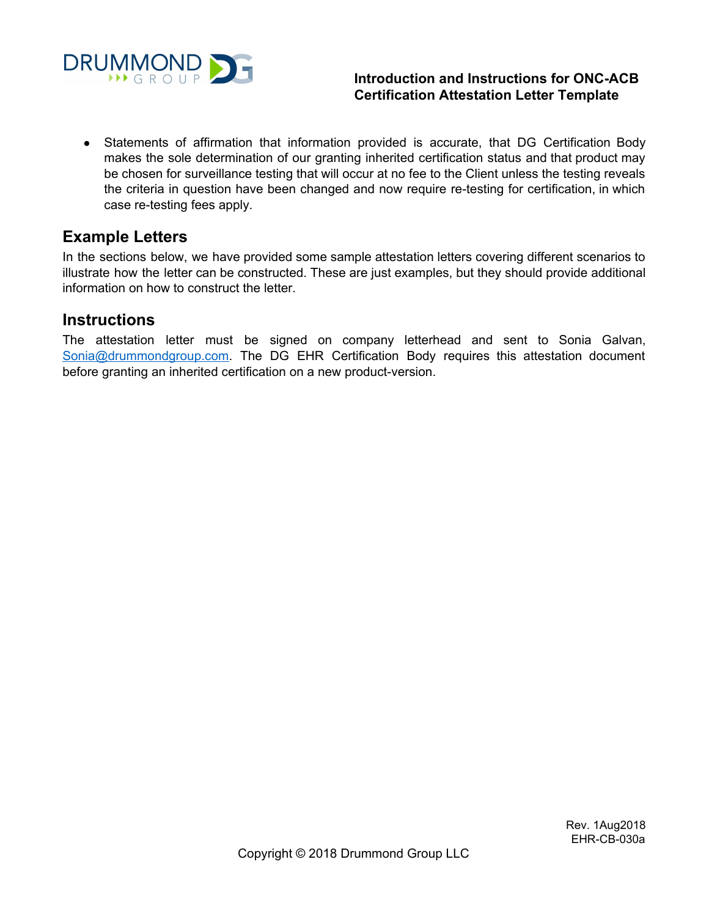

• Statements of affirmation that information provided is accurate, that DG Certification Body makes the sole determination of our granting inherited certification status and that product may be chosen for surveillance testing that will occur at no fee to the Client unless the testing reveals the criteria in question have been changed and now require re-testing for certification, in which case re-testing fees apply.

# **Example Letters**

In the sections below, we have provided some sample attestation letters covering different scenarios to illustrate how the letter can be constructed. These are just examples, but they should provide additional information on how to construct the letter.

## **Instructions**

The attestation letter must be signed on company letterhead and sent to Sonia Galvan, [Sonia@drummondgroup.com.](mailto:Sonia@drummondgroup.com) The DG EHR Certification Body requires this attestation document before granting an inherited certification on a new product-version.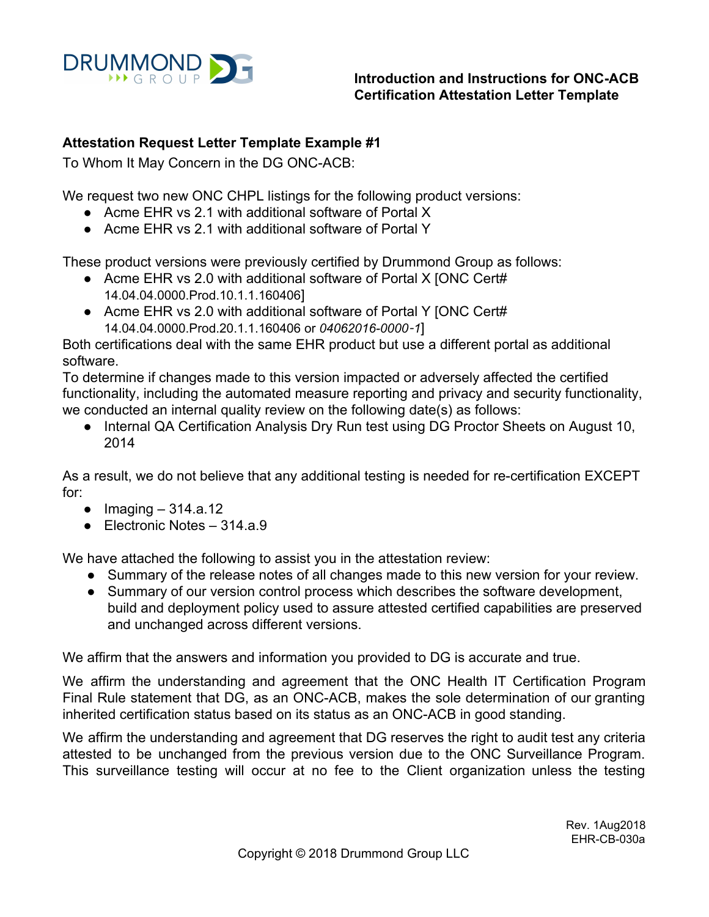

To Whom It May Concern in the DG ONC-ACB:

We request two new ONC CHPL listings for the following product versions:

- Acme EHR vs 2.1 with additional software of Portal X
- Acme EHR vs 2.1 with additional software of Portal Y

These product versions were previously certified by Drummond Group as follows:

- Acme EHR vs 2.0 with additional software of Portal X [ONC Cert# 14.04.04.0000.Prod.10.1.1.160406]
- Acme EHR vs 2.0 with additional software of Portal Y [ONC Cert# 14.04.04.0000.Prod.20.1.1.160406 or *04062016-0000*-*1*]

Both certifications deal with the same EHR product but use a different portal as additional software.

To determine if changes made to this version impacted or adversely affected the certified functionality, including the automated measure reporting and privacy and security functionality, we conducted an internal quality review on the following date(s) as follows:

• Internal QA Certification Analysis Dry Run test using DG Proctor Sheets on August 10, 2014

As a result, we do not believe that any additional testing is needed for re-certification EXCEPT for:

- Imaging  $-314.a.12$
- $\bullet$  Electronic Notes 314.a.9

We have attached the following to assist you in the attestation review:

- Summary of the release notes of all changes made to this new version for your review.
- Summary of our version control process which describes the software development, build and deployment policy used to assure attested certified capabilities are preserved and unchanged across different versions.

We affirm that the answers and information you provided to DG is accurate and true.

We affirm the understanding and agreement that the ONC Health IT Certification Program Final Rule statement that DG, as an ONC-ACB, makes the sole determination of our granting inherited certification status based on its status as an ONC-ACB in good standing.

We affirm the understanding and agreement that DG reserves the right to audit test any criteria attested to be unchanged from the previous version due to the ONC Surveillance Program. This surveillance testing will occur at no fee to the Client organization unless the testing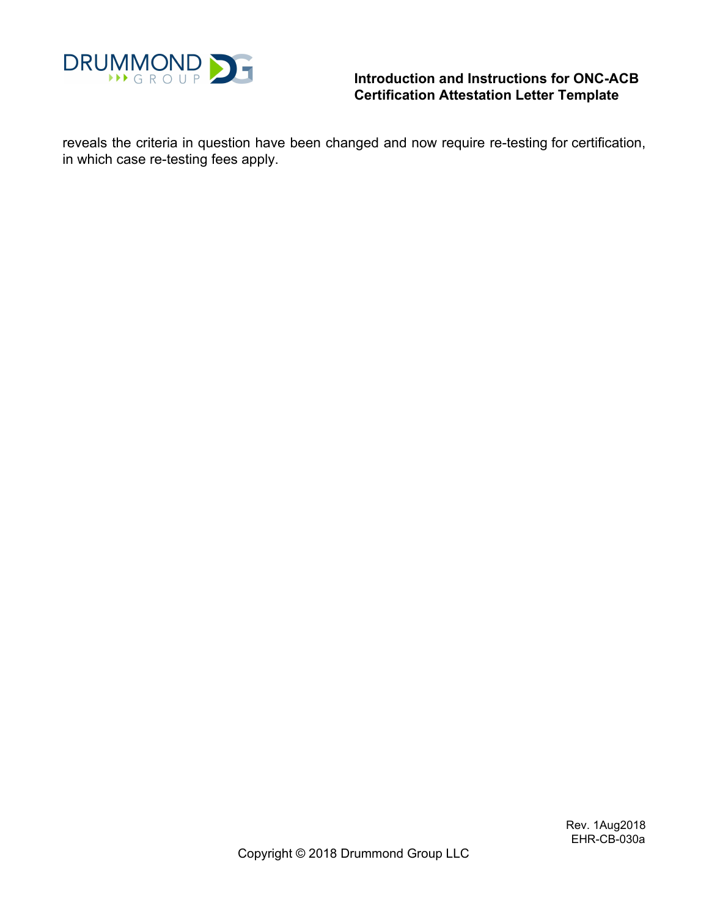

reveals the criteria in question have been changed and now require re-testing for certification, in which case re-testing fees apply.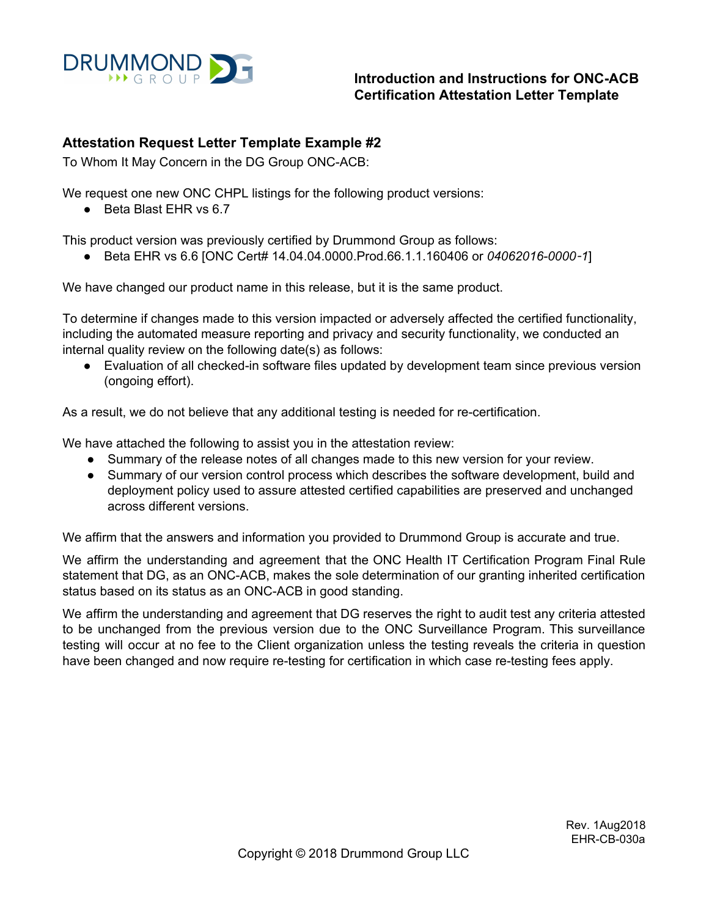

To Whom It May Concern in the DG Group ONC-ACB:

We request one new ONC CHPL listings for the following product versions:

● Beta Blast EHR vs 6.7

This product version was previously certified by Drummond Group as follows:

● Beta EHR vs 6.6 [ONC Cert# 14.04.04.0000.Prod.66.1.1.160406 or *04062016-0000*-*1*]

We have changed our product name in this release, but it is the same product.

To determine if changes made to this version impacted or adversely affected the certified functionality, including the automated measure reporting and privacy and security functionality, we conducted an internal quality review on the following date(s) as follows:

● Evaluation of all checked-in software files updated by development team since previous version (ongoing effort).

As a result, we do not believe that any additional testing is needed for re-certification.

We have attached the following to assist you in the attestation review:

- Summary of the release notes of all changes made to this new version for your review.
- Summary of our version control process which describes the software development, build and deployment policy used to assure attested certified capabilities are preserved and unchanged across different versions.

We affirm that the answers and information you provided to Drummond Group is accurate and true.

We affirm the understanding and agreement that the ONC Health IT Certification Program Final Rule statement that DG, as an ONC-ACB, makes the sole determination of our granting inherited certification status based on its status as an ONC-ACB in good standing.

We affirm the understanding and agreement that DG reserves the right to audit test any criteria attested to be unchanged from the previous version due to the ONC Surveillance Program. This surveillance testing will occur at no fee to the Client organization unless the testing reveals the criteria in question have been changed and now require re-testing for certification in which case re-testing fees apply.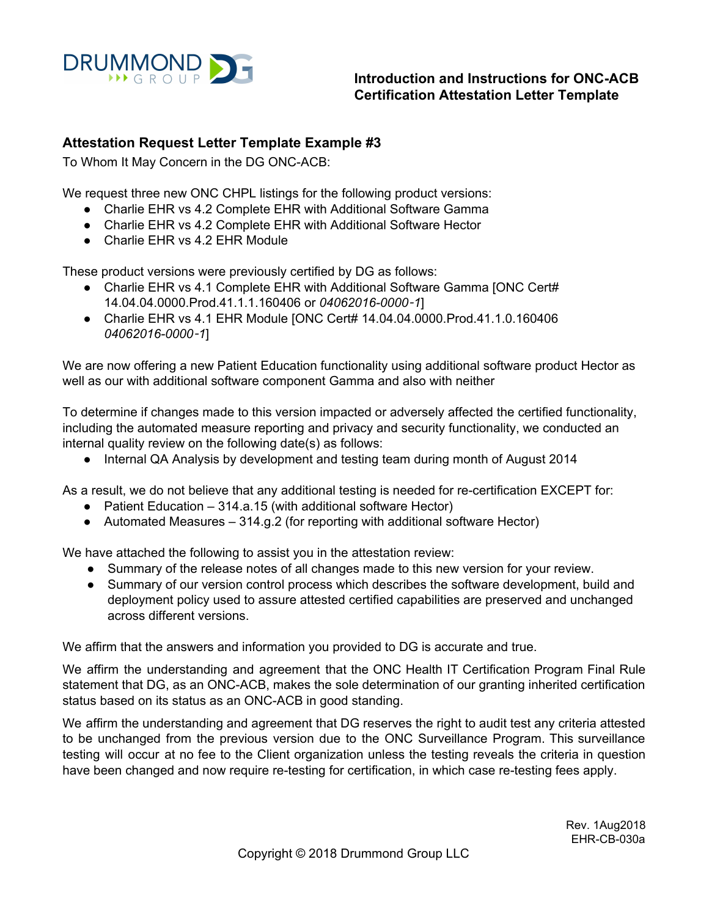

To Whom It May Concern in the DG ONC-ACB:

We request three new ONC CHPL listings for the following product versions:

- Charlie EHR vs 4.2 Complete EHR with Additional Software Gamma
- Charlie EHR vs 4.2 Complete EHR with Additional Software Hector
- Charlie EHR vs 4.2 EHR Module

These product versions were previously certified by DG as follows:

- Charlie EHR vs 4.1 Complete EHR with Additional Software Gamma [ONC Cert# 14.04.04.0000.Prod.41.1.1.160406 or *04062016-0000*-*1*]
- Charlie EHR vs 4.1 EHR Module [ONC Cert# 14.04.04.0000.Prod.41.1.0.160406 *04062016-0000*-*1*]

We are now offering a new Patient Education functionality using additional software product Hector as well as our with additional software component Gamma and also with neither

To determine if changes made to this version impacted or adversely affected the certified functionality, including the automated measure reporting and privacy and security functionality, we conducted an internal quality review on the following date(s) as follows:

• Internal QA Analysis by development and testing team during month of August 2014

As a result, we do not believe that any additional testing is needed for re-certification EXCEPT for:

- Patient Education 314.a.15 (with additional software Hector)
- Automated Measures 314.g.2 (for reporting with additional software Hector)

We have attached the following to assist you in the attestation review:

- Summary of the release notes of all changes made to this new version for your review.
- Summary of our version control process which describes the software development, build and deployment policy used to assure attested certified capabilities are preserved and unchanged across different versions.

We affirm that the answers and information you provided to DG is accurate and true.

We affirm the understanding and agreement that the ONC Health IT Certification Program Final Rule statement that DG, as an ONC-ACB, makes the sole determination of our granting inherited certification status based on its status as an ONC-ACB in good standing.

We affirm the understanding and agreement that DG reserves the right to audit test any criteria attested to be unchanged from the previous version due to the ONC Surveillance Program. This surveillance testing will occur at no fee to the Client organization unless the testing reveals the criteria in question have been changed and now require re-testing for certification, in which case re-testing fees apply.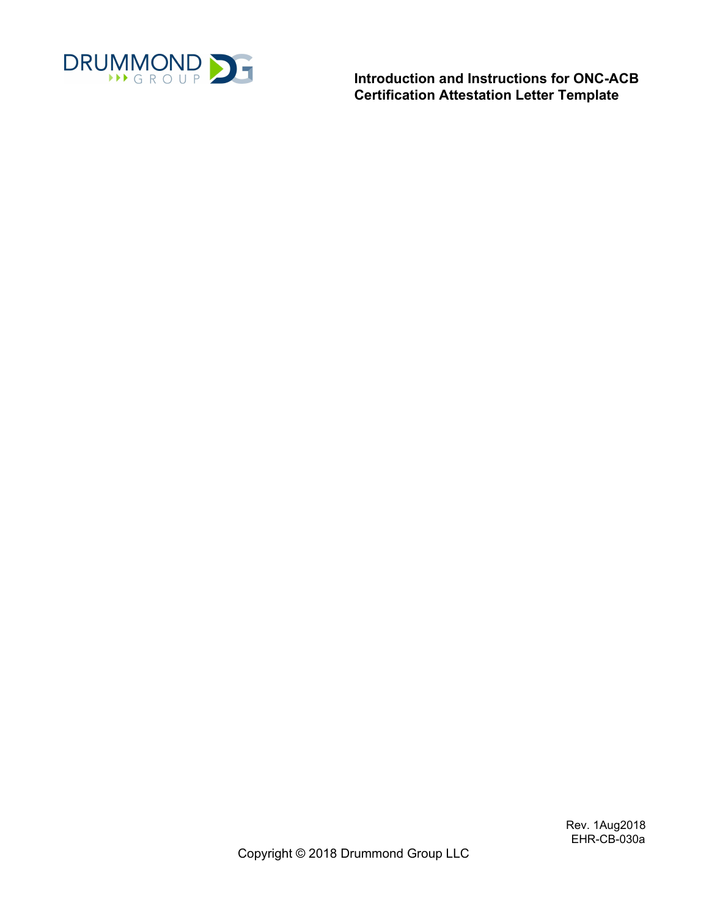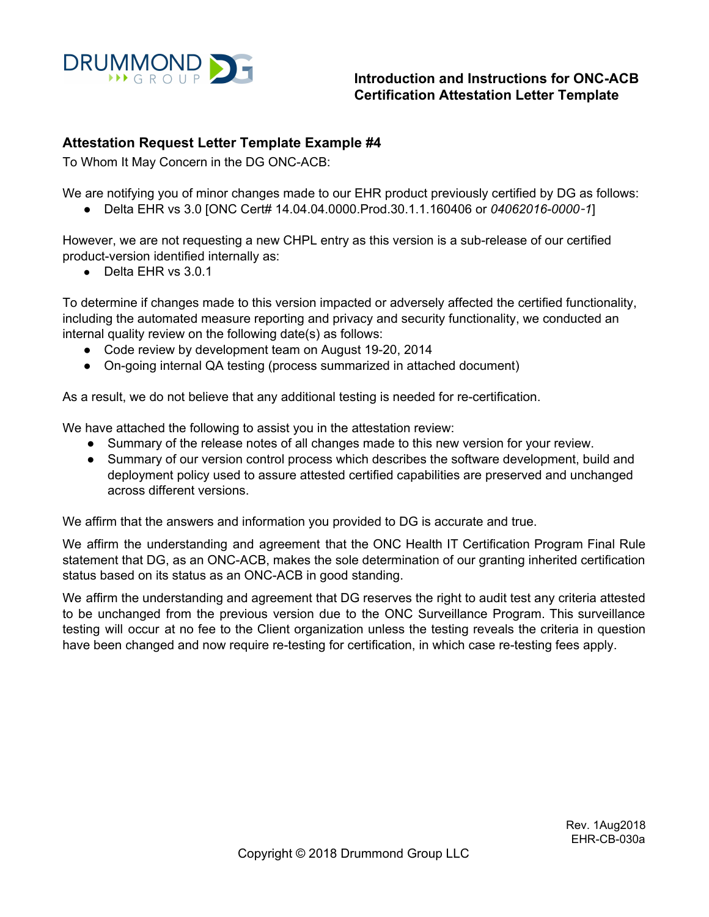

To Whom It May Concern in the DG ONC-ACB:

We are notifying you of minor changes made to our EHR product previously certified by DG as follows:

● Delta EHR vs 3.0 [ONC Cert# 14.04.04.0000.Prod.30.1.1.160406 or *04062016-0000*-*1*]

However, we are not requesting a new CHPL entry as this version is a sub-release of our certified product-version identified internally as:

● Delta EHR vs 3.0.1

To determine if changes made to this version impacted or adversely affected the certified functionality, including the automated measure reporting and privacy and security functionality, we conducted an internal quality review on the following date(s) as follows:

- Code review by development team on August 19-20, 2014
- On-going internal QA testing (process summarized in attached document)

As a result, we do not believe that any additional testing is needed for re-certification.

We have attached the following to assist you in the attestation review:

- Summary of the release notes of all changes made to this new version for your review.
- Summary of our version control process which describes the software development, build and deployment policy used to assure attested certified capabilities are preserved and unchanged across different versions.

We affirm that the answers and information you provided to DG is accurate and true.

We affirm the understanding and agreement that the ONC Health IT Certification Program Final Rule statement that DG, as an ONC-ACB, makes the sole determination of our granting inherited certification status based on its status as an ONC-ACB in good standing.

We affirm the understanding and agreement that DG reserves the right to audit test any criteria attested to be unchanged from the previous version due to the ONC Surveillance Program. This surveillance testing will occur at no fee to the Client organization unless the testing reveals the criteria in question have been changed and now require re-testing for certification, in which case re-testing fees apply.